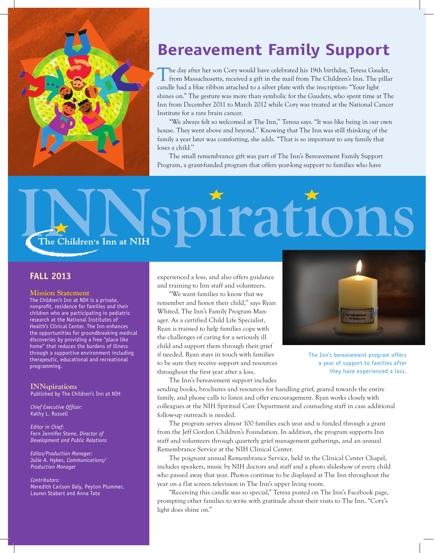

# **Bereavement Family Support**

The day after her son Cory would have celebrated his 19th birthday, Teresa Gaudet,<br>from Massachusetts, received a gift in the mail from The Children's Inn. The pillar candle had a blue ribbon attached to a silver plate with the inscription: "Your light shines on." The gesture was more than symbolic for the Gaudets, who spent time at The Inn from December 2011 to March 2012 while Cory was treated at the National Cancer Institute for a rare brain cancer.

"We always felt so welcomed at The Inn,'' Teresa says. "It was like being in our own house. They went above and beyond.'' Knowing that The Inn was still thinking of the family a year later was comforting, she adds. "That is so important to any family that loses a child.''

The small remembrance gift was part of The Inn's Bereavement Family Support Program, a grant-funded program that offers year-long support to families who have

# pirations The Children's Inn at NIH

#### **Fall 2013**

#### **Mission Statement**

The Children's Inn at NIH is a private, nonprofit, residence for families and their children who are participating in pediatric research at the National Institutes of Health's Clinical Center. The Inn enhances the opportunities for groundbreaking medical discoveries by providing a free "place like home" that reduces the burdens of illness through a supportive environment including therapeutic, educational and recreational programming.

### **INNspirations**

Published by The Children's Inn at NIH

*Chief Executive Officer:* Kathy L. Russell

*Editor in Chief:* Fern Jennifer Stone, *Director of Development and Public Relations*

*Editor/Production Manager:* Julie A. Hykes, *Communications/ Production Manager*

#### *Contributors:* Meredith Carlson Daly, Peyton Plummer,

Lauren Stabert and Anna Tate

experienced a loss, and also offers guidance and training to Inn staff and volunteers.

"We want families to know that we remember and honor their child,'' says Ryan Whited, The Inn's Family Program Manager. As a certified Child Life Specialist, Ryan is trained to help families cope with the challenges of caring for a seriously ill child and support them through their grief if needed. Ryan stays in touch with families to be sure they receive support and resources throughout the first year after a loss.

The Inn's bereavement program offers a year of support to families after they have experienced a loss.

The Inn's bereavement support includes

sending books, brochures and resources for handling grief, geared towards the entire family, and phone calls to listen and offer encouragement. Ryan works closely with colleagues at the NIH Spiritual Care Department and counseling staff in case additional follow-up outreach is needed.

The program serves almost 100 families each year and is funded through a grant from the Jeff Gordon Children's Foundation. In addition, the program supports Inn staff and volunteers through quarterly grief management gatherings, and an annual Remembrance Service at the NIH Clinical Center.

The poignant annual Remembrance Service, held in the Clinical Center Chapel, includes speakers, music by NIH doctors and staff and a photo slideshow of every child who passed away that year. Photos continue to be displayed at The Inn throughout the year on a flat screen television in The Inn's upper living room.

"Receiving this candle was so special," Teresa posted on The Inn's Facebook page, prompting other families to write with gratitude about their visits to The Inn. "Cory's light does shine on."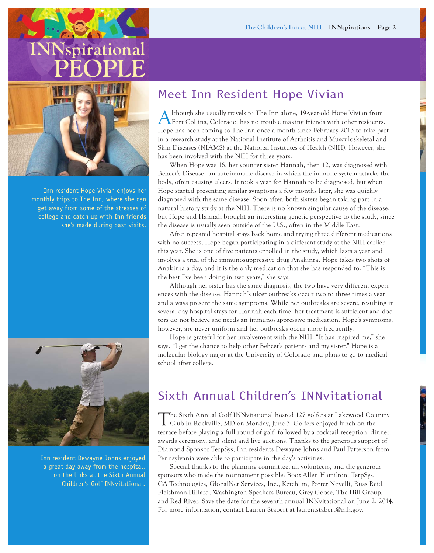# **INNspirational PEOPLE**



Inn resident Hope Vivian enjoys her monthly trips to The Inn, where she can get away from some of the stresses of college and catch up with Inn friends she's made during past visits.



Inn resident Dewayne Johns enjoyed a great day away from the hospital, on the links at the Sixth Annual Children's Golf INNvitational.

# Meet Inn Resident Hope Vivian

Although she usually travels to The Inn alone, 19-year-old Hope Vivian from Fort Collins, Colorado, has no trouble making friends with other residents. Hope has been coming to The Inn once a month since February 2013 to take part in a research study at the National Institute of Arthritis and Musculoskeletal and Skin Diseases (NIAMS) at the National Institutes of Health (NIH). However, she has been involved with the NIH for three years.

When Hope was 16, her younger sister Hannah, then 12, was diagnosed with Behcet's Disease—an autoimmune disease in which the immune system attacks the body, often causing ulcers. It took a year for Hannah to be diagnosed, but when Hope started presenting similar symptoms a few months later, she was quickly diagnosed with the same disease. Soon after, both sisters began taking part in a natural history study at the NIH. There is no known singular cause of the disease, but Hope and Hannah brought an interesting genetic perspective to the study, since the disease is usually seen outside of the U.S., often in the Middle East.

After repeated hospital stays back home and trying three different medications with no success, Hope began participating in a different study at the NIH earlier this year. She is one of five patients enrolled in the study, which lasts a year and involves a trial of the immunosuppressive drug Anakinra. Hope takes two shots of Anakinra a day, and it is the only medication that she has responded to. "This is the best I've been doing in two years," she says.

Although her sister has the same diagnosis, the two have very different experiences with the disease. Hannah's ulcer outbreaks occur two to three times a year and always present the same symptoms. While her outbreaks are severe, resulting in several-day hospital stays for Hannah each time, her treatment is sufficient and doctors do not believe she needs an immunosuppressive medication. Hope's symptoms, however, are never uniform and her outbreaks occur more frequently.

Hope is grateful for her involvement with the NIH. "It has inspired me," she says. "I get the chance to help other Behcet's patients and my sister." Hope is a molecular biology major at the University of Colorado and plans to go to medical school after college.

# Sixth Annual Children's INNvitational

The Sixth Annual Golf INNvitational hosted 127 golfers at Lakewood Country<br>Club in Rockville, MD on Monday, June 3. Golfers enjoyed lunch on the terrace before playing a full round of golf, followed by a cocktail reception, dinner, awards ceremony, and silent and live auctions. Thanks to the generous support of Diamond Sponsor TerpSys, Inn residents Dewayne Johns and Paul Patterson from Pennsylvania were able to participate in the day's activities.

Special thanks to the planning committee, all volunteers, and the generous sponsors who made the tournament possible: Booz Allen Hamilton, TerpSys, CA Technologies, GlobalNet Services, Inc., Ketchum, Porter Novelli, Russ Reid, Fleishman-Hillard, Washington Speakers Bureau, Grey Goose, The Hill Group, and Red River. Save the date for the seventh annual INNvitational on June 2, 2014. For more information, contact Lauren Stabert at lauren.stabert@nih.gov.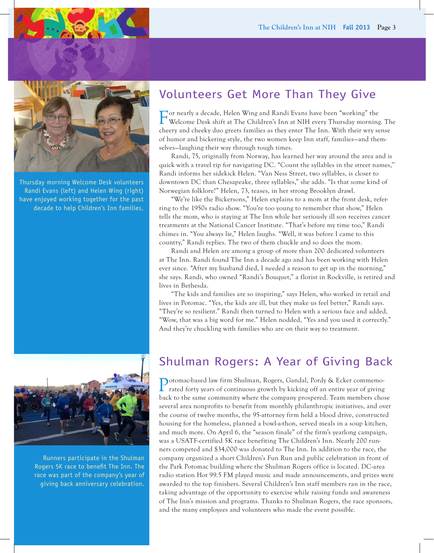

Thursday morning Welcome Desk volunteers Randi Evans (left) and Helen Wing (right) have enjoyed working together for the past decade to help Children's Inn families.

# Volunteers Get More Than They Give

For nearly a decade, Helen Wing and Randi Evans have been "working" the Welcome Desk shift at The Children's Inn at NIH every Thursday morning. The cheery and cheeky duo greets families as they enter The Inn. With their wry sense of humor and bickering style, the two women keep Inn staff, families—and themselves—laughing their way through tough times.

Randi, 75, originally from Norway, has learned her way around the area and is quick with a travel tip for navigating DC. "Count the syllables in the street names,'' Randi informs her sidekick Helen. "Van Ness Street, two syllables, is closer to downtown DC than Chesapeake, three syllables," she adds. "Is that some kind of Norwegian folklore?" Helen, 73, teases, in her strong Brooklyn drawl.

"We're like the Bickersons," Helen explains to a mom at the front desk, referring to the 1950s radio show. "You're too young to remember that show," Helen tells the mom, who is staying at The Inn while her seriously ill son receives cancer treatments at the National Cancer Institute. "That's before my time too," Randi chimes in. "You always lie," Helen laughs. "Well, it was before I came to this country," Randi replies. The two of them chuckle and so does the mom.

Randi and Helen are among a group of more than 200 dedicated volunteers at The Inn. Randi found The Inn a decade ago and has been working with Helen ever since. "After my husband died, I needed a reason to get up in the morning," she says. Randi, who owned "Randi's Bouquet," a florist in Rockville, is retired and lives in Bethesda.

"The kids and families are so inspiring," says Helen, who worked in retail and lives in Potomac. "Yes, the kids are ill, but they make us feel better," Randi says. "They're so resilient." Randi then turned to Helen with a serious face and added, "Wow, that was a big word for me." Helen nodded, "Yes and you used it correctly." And they're chuckling with families who are on their way to treatment.



Runners participate in the Shulman Rogers 5K race to benefit The Inn. The race was part of the company's year of giving back anniversary celebration.

# Shulman Rogers: A Year of Giving Back

Potomac-based law firm Shulman, Rogers, Gandal, Pordy & Ecker commemo- $\mathsf{\mathsf{L}}$  rated forty years of continuous growth by kicking off an entire year of giving back to the same community where the company prospered. Team members chose several area nonprofits to benefit from monthly philanthropic initiatives, and over the course of twelve months, the 95-attorney firm held a blood drive, constructed housing for the homeless, planned a bowl-a-thon, served meals in a soup kitchen, and much more. On April 6, the "season finale" of the firm's yearlong campaign, was a USATF-certified 5K race benefiting The Children's Inn. Nearly 200 runners competed and \$34,000 was donated to The Inn. In addition to the race, the company organized a short Children's Fun Run and public celebration in front of the Park Potomac building where the Shulman Rogers office is located. DC-area radio station Hot 99.5 FM played music and made announcements, and prizes were awarded to the top finishers. Several Children's Inn staff members ran in the race, taking advantage of the opportunity to exercise while raising funds and awareness of The Inn's mission and programs. Thanks to Shulman Rogers, the race sponsors, and the many employees and volunteers who made the event possible.